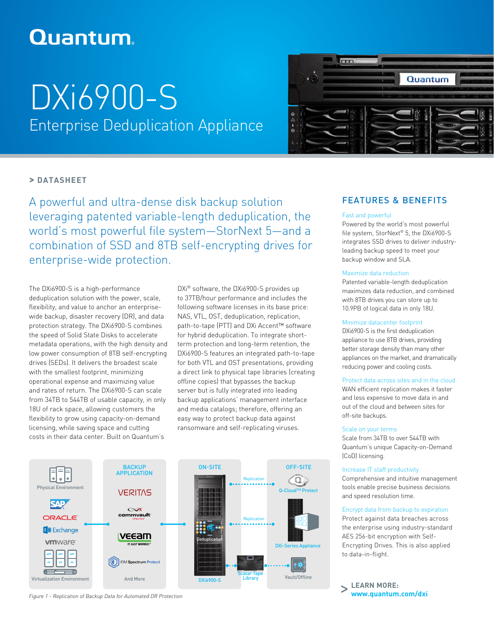# **Quantum**

# DXi6900-S Enterprise Deduplication Appliance



## **> DATASHEET**

A powerful and ultra-dense disk backup solution leveraging patented variable-length deduplication, the world's most powerful file system—StorNext 5—and a combination of SSD and 8TB self-encrypting drives for enterprise-wide protection.

The DXi6900-S is a high-performance deduplication solution with the power, scale, flexibility, and value to anchor an enterprisewide backup, disaster recovery (DR), and data protection strategy. The DXi6900-S combines the speed of Solid State Disks to accelerate metadata operations, with the high density and low power consumption of 8TB self-encrypting drives (SEDs). It delivers the broadest scale with the smallest footprint, minimizing operational expense and maximizing value and rates of return. The DXi6900-S can scale from 34TB to 544TB of usable capacity, in only 18U of rack space, allowing customers the flexibility to grow using capacity-on-demand licensing, while saving space and cutting costs in their data center. Built on Quantum's

DXi® software, the DXi6900-S provides up to 37TB/hour performance and includes the following software licenses in its base price: NAS, VTL, OST, deduplication, replication, path-to-tape (PTT) and DXi Accent™ software for hybrid deduplication. To integrate shortterm protection and long-term retention, the DXi6900-S features an integrated path-to-tape for both VTL and OST presentations, providing a direct link to physical tape libraries (creating offline copies) that bypasses the backup server but is fully integrated into leading backup applications' management interface and media catalogs; therefore, offering an easy way to protect backup data against ransomware and self-replicating viruses.



## FEATURES & BENEFITS

#### Fast and powerful

Powered by the world's most powerful file system, StorNext® 5, the DXi6900-S integrates SSD drives to deliver industryleading backup speed to meet your backup window and SLA.

#### Maximize data reduction

Patented variable-length deduplication maximizes data reduction, and combined with 8TB drives you can store up to 10.9PB of logical data in only 18U.

#### Minimize datacenter footprint

DXi6900-S is the first deduplication appliance to use 8TB drives, providing better storage density than many other appliances on the market, and dramatically reducing power and cooling costs.

#### Protect data across sites and in the cloud

WAN efficient replication makes it faster and less expensive to move data in and out of the cloud and between sites for off-site backups.

#### Scale on your terms

Scale from 34TB to over 544TB with Quantum's unique Capacity-on-Demand (CoD) licensing.

#### Increase IT staff productivity

Comprehensive and intuitive management tools enable precise business decisions and speed resolution time.

#### Encrypt data from backup to expiration

Protect against data breaches across the enterprise using industry-standard AES 256-bit encryption with Self-Encrypting Drives. This is also applied to data-in-flight.